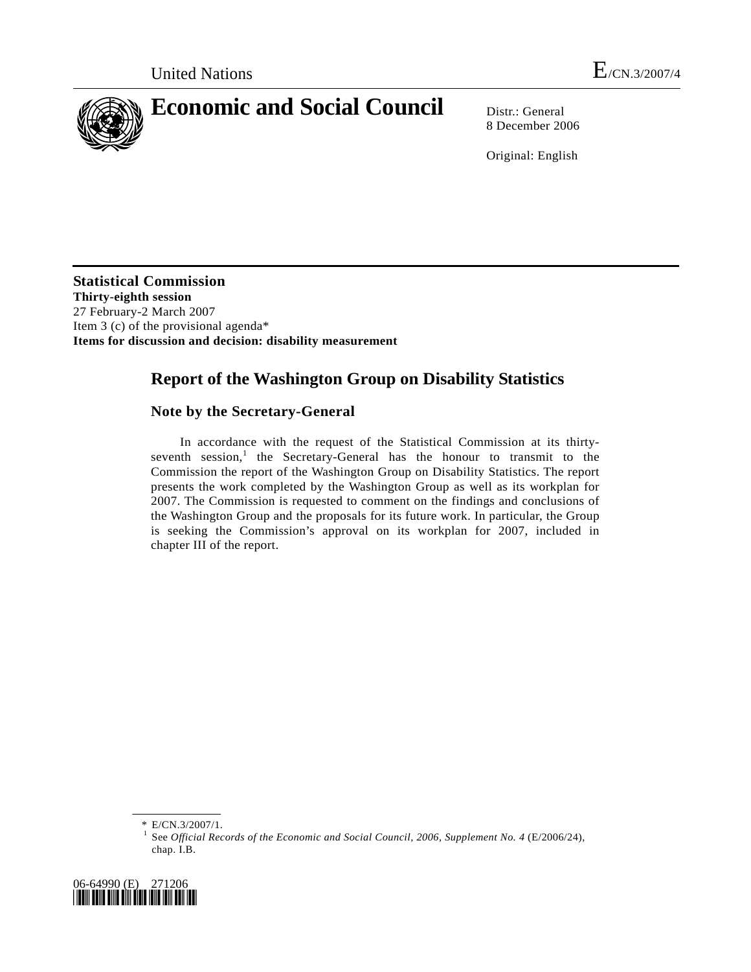

8 December 2006

Original: English

**Statistical Commission Thirty-eighth session**  27 February-2 March 2007 Item 3 (c) of the provisional agenda\* **Items for discussion and decision: disability measurement** 

# **Report of the Washington Group on Disability Statistics**

## **Note by the Secretary-General**

 In accordance with the request of the Statistical Commission at its thirtyseventh session,<sup>1</sup> the Secretary-General has the honour to transmit to the Commission the report of the Washington Group on Disability Statistics. The report presents the work completed by the Washington Group as well as its workplan for 2007. The Commission is requested to comment on the findings and conclusions of the Washington Group and the proposals for its future work. In particular, the Group is seeking the Commission's approval on its workplan for 2007, included in chapter III of the report.

See *Official Records of the Economic and Social Council, 2006, Supplement No. 4* (E/2006/24), chap. I.B.



<sup>\*</sup> E/CN.3/2007/1.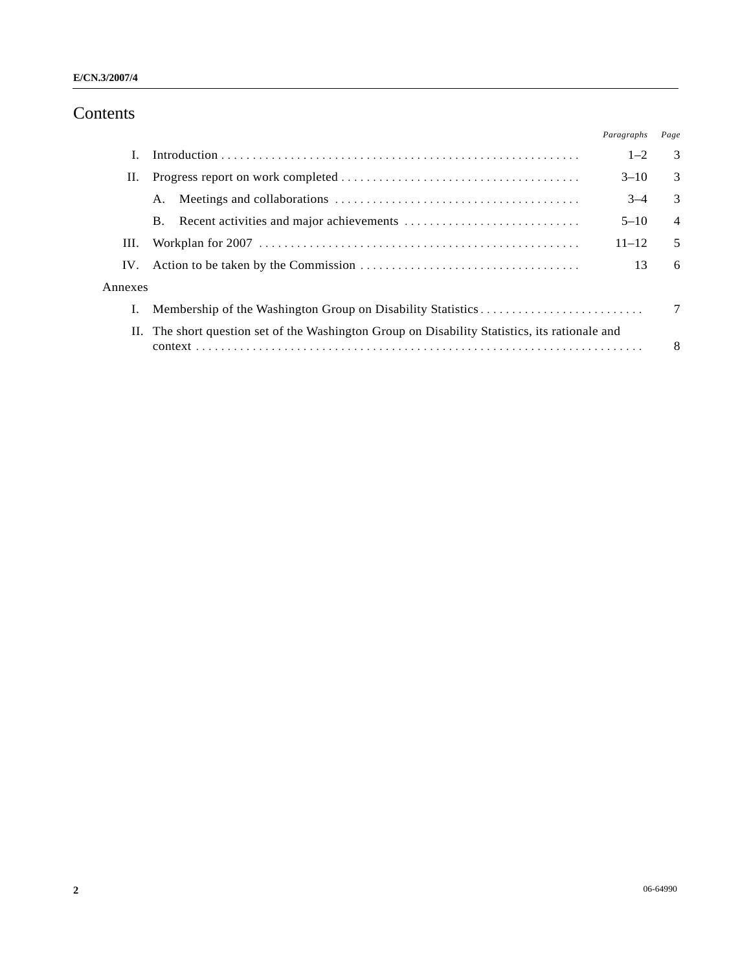# Contents

|         |                                                                                                | Paragraphs | Page           |
|---------|------------------------------------------------------------------------------------------------|------------|----------------|
| I.      |                                                                                                | $1 - 2$    | 3              |
| П.      |                                                                                                | $3 - 10$   | 3              |
|         | A.                                                                                             | $3 - 4$    | 3              |
|         |                                                                                                | $5 - 10$   | $\overline{4}$ |
| Ш.      |                                                                                                | $11 - 12$  | 5              |
| IV.     |                                                                                                | 13         | 6              |
| Annexes |                                                                                                |            |                |
| I.      |                                                                                                |            | $\overline{7}$ |
|         | II. The short question set of the Washington Group on Disability Statistics, its rationale and |            |                |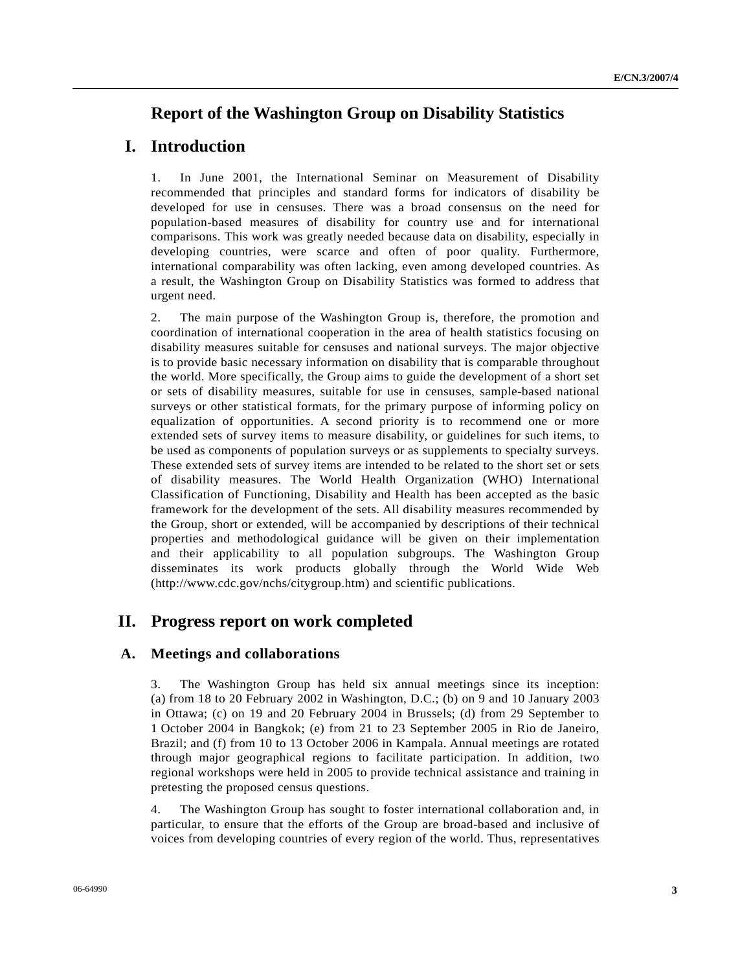# **Report of the Washington Group on Disability Statistics**

# **I. Introduction**

1. In June 2001, the International Seminar on Measurement of Disability recommended that principles and standard forms for indicators of disability be developed for use in censuses. There was a broad consensus on the need for population-based measures of disability for country use and for international comparisons. This work was greatly needed because data on disability, especially in developing countries, were scarce and often of poor quality. Furthermore, international comparability was often lacking, even among developed countries. As a result, the Washington Group on Disability Statistics was formed to address that urgent need.

2. The main purpose of the Washington Group is, therefore, the promotion and coordination of international cooperation in the area of health statistics focusing on disability measures suitable for censuses and national surveys. The major objective is to provide basic necessary information on disability that is comparable throughout the world. More specifically, the Group aims to guide the development of a short set or sets of disability measures, suitable for use in censuses, sample-based national surveys or other statistical formats, for the primary purpose of informing policy on equalization of opportunities. A second priority is to recommend one or more extended sets of survey items to measure disability, or guidelines for such items, to be used as components of population surveys or as supplements to specialty surveys. These extended sets of survey items are intended to be related to the short set or sets of disability measures. The World Health Organization (WHO) International Classification of Functioning, Disability and Health has been accepted as the basic framework for the development of the sets. All disability measures recommended by the Group, short or extended, will be accompanied by descriptions of their technical properties and methodological guidance will be given on their implementation and their applicability to all population subgroups. The Washington Group disseminates its work products globally through the World Wide Web (http://www.cdc.gov/nchs/citygroup.htm) and scientific publications.

# **II. Progress report on work completed**

## **A. Meetings and collaborations**

3. The Washington Group has held six annual meetings since its inception: (a) from 18 to 20 February 2002 in Washington, D.C.; (b) on 9 and 10 January 2003 in Ottawa; (c) on 19 and 20 February 2004 in Brussels; (d) from 29 September to 1 October 2004 in Bangkok; (e) from 21 to 23 September 2005 in Rio de Janeiro, Brazil; and (f) from 10 to 13 October 2006 in Kampala. Annual meetings are rotated through major geographical regions to facilitate participation. In addition, two regional workshops were held in 2005 to provide technical assistance and training in pretesting the proposed census questions.

4. The Washington Group has sought to foster international collaboration and, in particular, to ensure that the efforts of the Group are broad-based and inclusive of voices from developing countries of every region of the world. Thus, representatives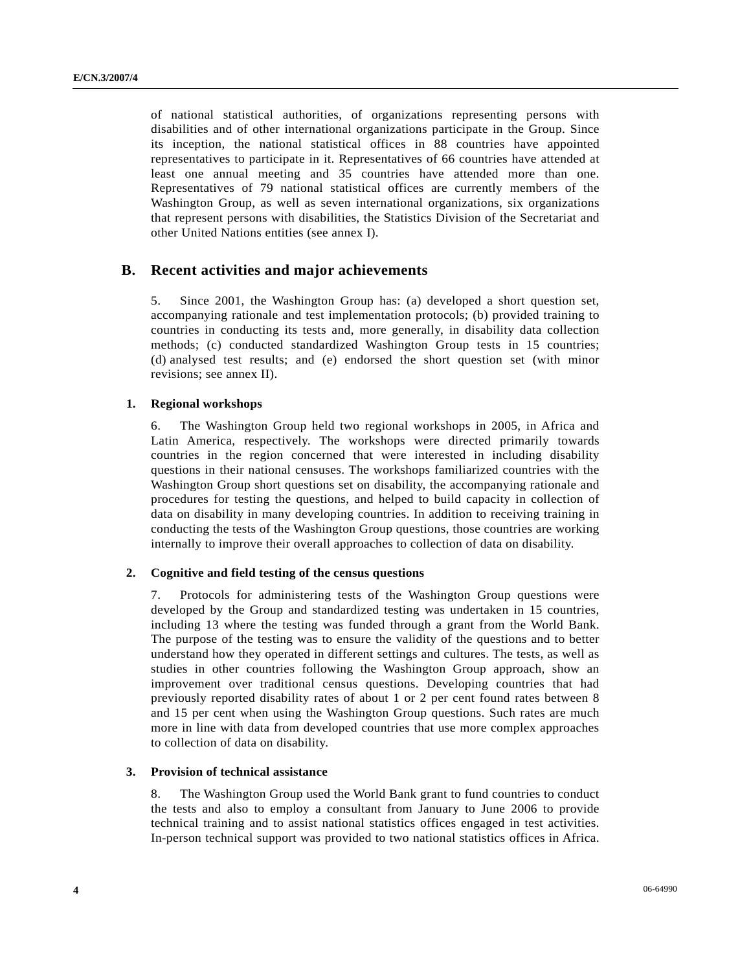of national statistical authorities, of organizations representing persons with disabilities and of other international organizations participate in the Group. Since its inception, the national statistical offices in 88 countries have appointed representatives to participate in it. Representatives of 66 countries have attended at least one annual meeting and 35 countries have attended more than one. Representatives of 79 national statistical offices are currently members of the Washington Group, as well as seven international organizations, six organizations that represent persons with disabilities, the Statistics Division of the Secretariat and other United Nations entities (see annex I).

### **B. Recent activities and major achievements**

5. Since 2001, the Washington Group has: (a) developed a short question set, accompanying rationale and test implementation protocols; (b) provided training to countries in conducting its tests and, more generally, in disability data collection methods; (c) conducted standardized Washington Group tests in 15 countries; (d) analysed test results; and (e) endorsed the short question set (with minor revisions; see annex II).

### **1. Regional workshops**

6. The Washington Group held two regional workshops in 2005, in Africa and Latin America, respectively. The workshops were directed primarily towards countries in the region concerned that were interested in including disability questions in their national censuses. The workshops familiarized countries with the Washington Group short questions set on disability, the accompanying rationale and procedures for testing the questions, and helped to build capacity in collection of data on disability in many developing countries. In addition to receiving training in conducting the tests of the Washington Group questions, those countries are working internally to improve their overall approaches to collection of data on disability.

#### **2. Cognitive and field testing of the census questions**

7. Protocols for administering tests of the Washington Group questions were developed by the Group and standardized testing was undertaken in 15 countries, including 13 where the testing was funded through a grant from the World Bank. The purpose of the testing was to ensure the validity of the questions and to better understand how they operated in different settings and cultures. The tests, as well as studies in other countries following the Washington Group approach, show an improvement over traditional census questions. Developing countries that had previously reported disability rates of about 1 or 2 per cent found rates between 8 and 15 per cent when using the Washington Group questions. Such rates are much more in line with data from developed countries that use more complex approaches to collection of data on disability.

#### **3. Provision of technical assistance**

8. The Washington Group used the World Bank grant to fund countries to conduct the tests and also to employ a consultant from January to June 2006 to provide technical training and to assist national statistics offices engaged in test activities. In-person technical support was provided to two national statistics offices in Africa.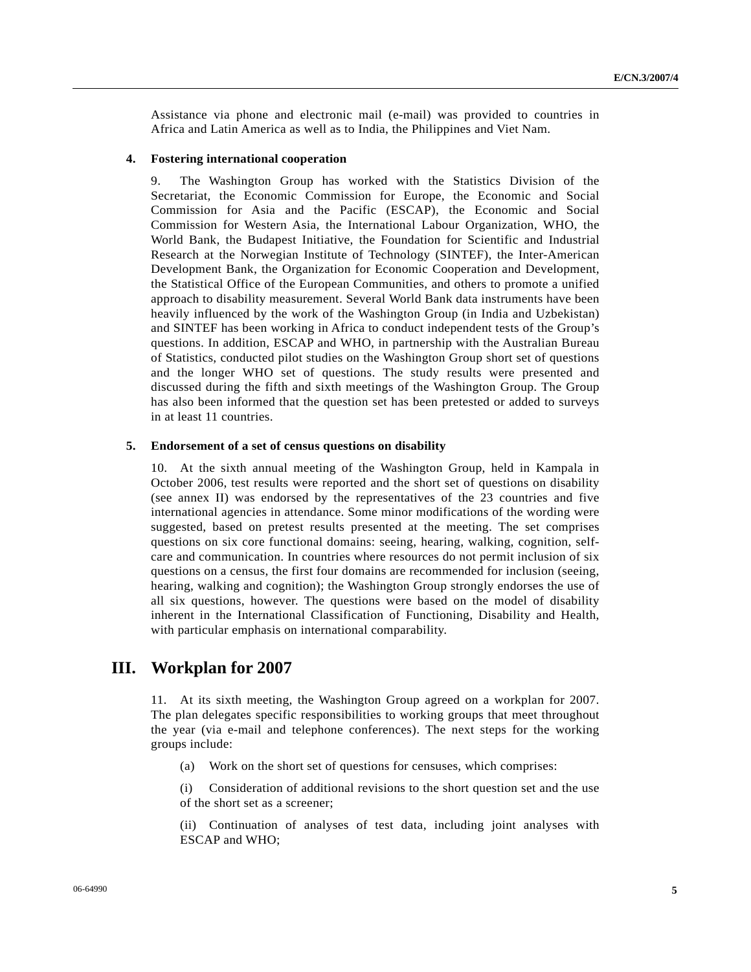Assistance via phone and electronic mail (e-mail) was provided to countries in Africa and Latin America as well as to India, the Philippines and Viet Nam.

#### **4. Fostering international cooperation**

9. The Washington Group has worked with the Statistics Division of the Secretariat, the Economic Commission for Europe, the Economic and Social Commission for Asia and the Pacific (ESCAP), the Economic and Social Commission for Western Asia, the International Labour Organization, WHO, the World Bank, the Budapest Initiative, the Foundation for Scientific and Industrial Research at the Norwegian Institute of Technology (SINTEF), the Inter-American Development Bank, the Organization for Economic Cooperation and Development, the Statistical Office of the European Communities, and others to promote a unified approach to disability measurement. Several World Bank data instruments have been heavily influenced by the work of the Washington Group (in India and Uzbekistan) and SINTEF has been working in Africa to conduct independent tests of the Group's questions. In addition, ESCAP and WHO, in partnership with the Australian Bureau of Statistics, conducted pilot studies on the Washington Group short set of questions and the longer WHO set of questions. The study results were presented and discussed during the fifth and sixth meetings of the Washington Group. The Group has also been informed that the question set has been pretested or added to surveys in at least 11 countries.

#### **5. Endorsement of a set of census questions on disability**

10. At the sixth annual meeting of the Washington Group, held in Kampala in October 2006, test results were reported and the short set of questions on disability (see annex II) was endorsed by the representatives of the 23 countries and five international agencies in attendance. Some minor modifications of the wording were suggested, based on pretest results presented at the meeting. The set comprises questions on six core functional domains: seeing, hearing, walking, cognition, selfcare and communication. In countries where resources do not permit inclusion of six questions on a census, the first four domains are recommended for inclusion (seeing, hearing, walking and cognition); the Washington Group strongly endorses the use of all six questions, however. The questions were based on the model of disability inherent in the International Classification of Functioning, Disability and Health, with particular emphasis on international comparability.

## **III. Workplan for 2007**

11. At its sixth meeting, the Washington Group agreed on a workplan for 2007. The plan delegates specific responsibilities to working groups that meet throughout the year (via e-mail and telephone conferences). The next steps for the working groups include:

(a) Work on the short set of questions for censuses, which comprises:

 (i) Consideration of additional revisions to the short question set and the use of the short set as a screener;

 (ii) Continuation of analyses of test data, including joint analyses with ESCAP and WHO;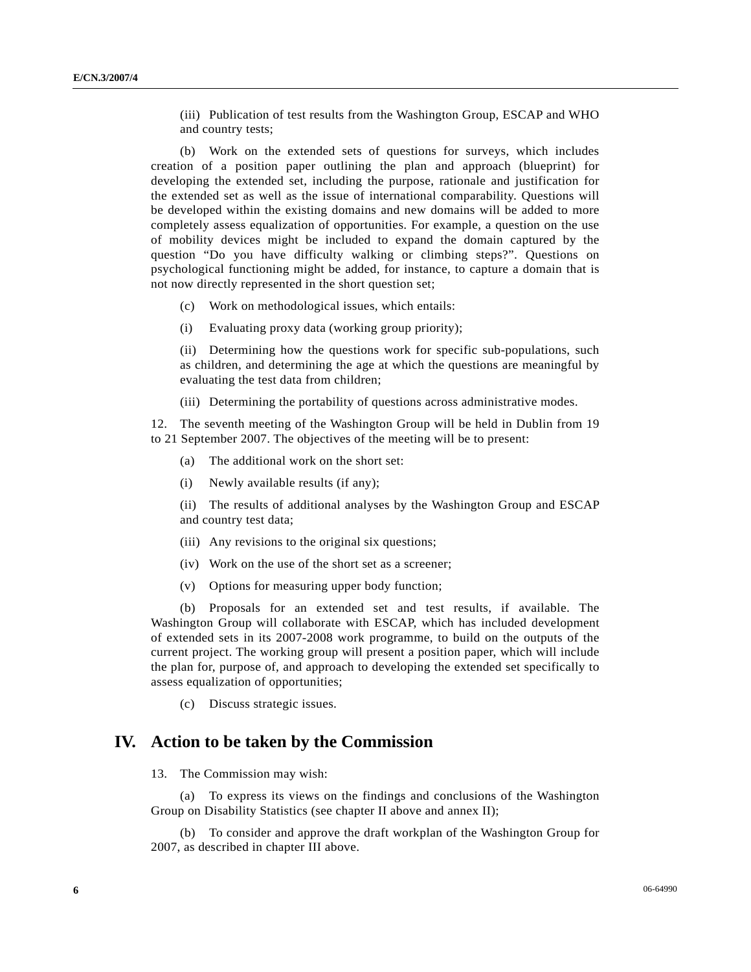(iii) Publication of test results from the Washington Group, ESCAP and WHO and country tests;

 (b) Work on the extended sets of questions for surveys, which includes creation of a position paper outlining the plan and approach (blueprint) for developing the extended set, including the purpose, rationale and justification for the extended set as well as the issue of international comparability. Questions will be developed within the existing domains and new domains will be added to more completely assess equalization of opportunities. For example, a question on the use of mobility devices might be included to expand the domain captured by the question "Do you have difficulty walking or climbing steps?". Questions on psychological functioning might be added, for instance, to capture a domain that is not now directly represented in the short question set;

- (c) Work on methodological issues, which entails:
- (i) Evaluating proxy data (working group priority);

 (ii) Determining how the questions work for specific sub-populations, such as children, and determining the age at which the questions are meaningful by evaluating the test data from children;

(iii) Determining the portability of questions across administrative modes.

12. The seventh meeting of the Washington Group will be held in Dublin from 19 to 21 September 2007. The objectives of the meeting will be to present:

- (a) The additional work on the short set:
- (i) Newly available results (if any);

 (ii) The results of additional analyses by the Washington Group and ESCAP and country test data;

- (iii) Any revisions to the original six questions;
- (iv) Work on the use of the short set as a screener;
- (v) Options for measuring upper body function;

 (b) Proposals for an extended set and test results, if available. The Washington Group will collaborate with ESCAP, which has included development of extended sets in its 2007-2008 work programme, to build on the outputs of the current project. The working group will present a position paper, which will include the plan for, purpose of, and approach to developing the extended set specifically to assess equalization of opportunities;

(c) Discuss strategic issues.

## **IV. Action to be taken by the Commission**

13. The Commission may wish:

 (a) To express its views on the findings and conclusions of the Washington Group on Disability Statistics (see chapter II above and annex II);

 (b) To consider and approve the draft workplan of the Washington Group for 2007, as described in chapter III above.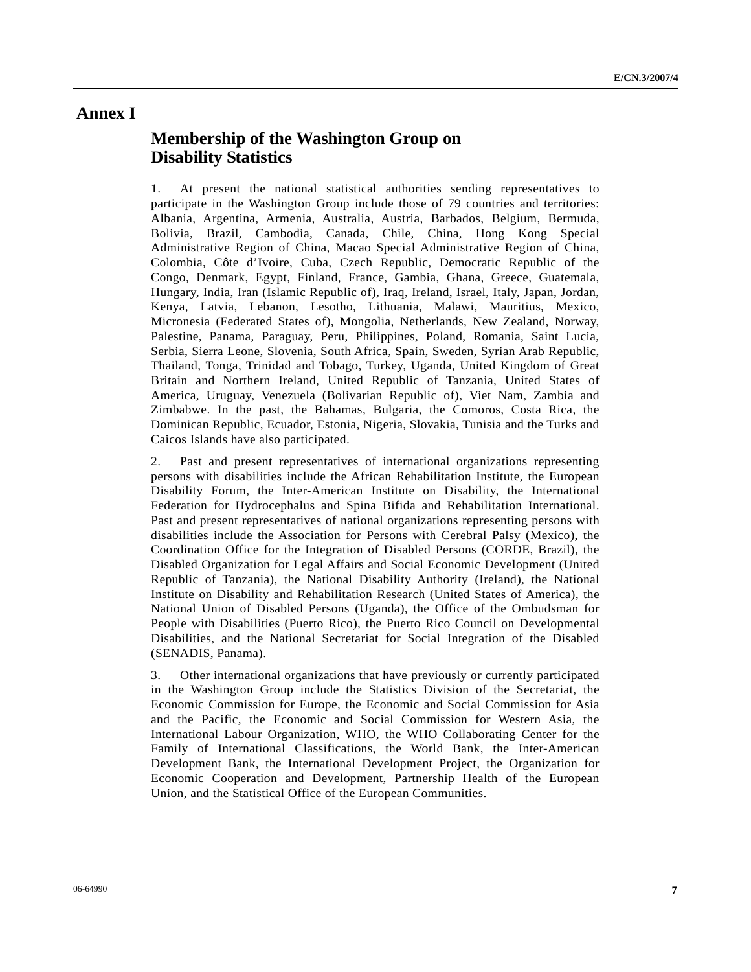## **Annex I**

# **Membership of the Washington Group on Disability Statistics**

1. At present the national statistical authorities sending representatives to participate in the Washington Group include those of 79 countries and territories: Albania, Argentina, Armenia, Australia, Austria, Barbados, Belgium, Bermuda, Bolivia, Brazil, Cambodia, Canada, Chile, China, Hong Kong Special Administrative Region of China, Macao Special Administrative Region of China, Colombia, Côte d'Ivoire, Cuba, Czech Republic, Democratic Republic of the Congo, Denmark, Egypt, Finland, France, Gambia, Ghana, Greece, Guatemala, Hungary, India, Iran (Islamic Republic of), Iraq, Ireland, Israel, Italy, Japan, Jordan, Kenya, Latvia, Lebanon, Lesotho, Lithuania, Malawi, Mauritius, Mexico, Micronesia (Federated States of), Mongolia, Netherlands, New Zealand, Norway, Palestine, Panama, Paraguay, Peru, Philippines, Poland, Romania, Saint Lucia, Serbia, Sierra Leone, Slovenia, South Africa, Spain, Sweden, Syrian Arab Republic, Thailand, Tonga, Trinidad and Tobago, Turkey, Uganda, United Kingdom of Great Britain and Northern Ireland, United Republic of Tanzania, United States of America, Uruguay, Venezuela (Bolivarian Republic of), Viet Nam, Zambia and Zimbabwe. In the past, the Bahamas, Bulgaria, the Comoros, Costa Rica, the Dominican Republic, Ecuador, Estonia, Nigeria, Slovakia, Tunisia and the Turks and Caicos Islands have also participated.

2. Past and present representatives of international organizations representing persons with disabilities include the African Rehabilitation Institute, the European Disability Forum, the Inter-American Institute on Disability, the International Federation for Hydrocephalus and Spina Bifida and Rehabilitation International. Past and present representatives of national organizations representing persons with disabilities include the Association for Persons with Cerebral Palsy (Mexico), the Coordination Office for the Integration of Disabled Persons (CORDE, Brazil), the Disabled Organization for Legal Affairs and Social Economic Development (United Republic of Tanzania), the National Disability Authority (Ireland), the National Institute on Disability and Rehabilitation Research (United States of America), the National Union of Disabled Persons (Uganda), the Office of the Ombudsman for People with Disabilities (Puerto Rico), the Puerto Rico Council on Developmental Disabilities, and the National Secretariat for Social Integration of the Disabled (SENADIS, Panama).

3. Other international organizations that have previously or currently participated in the Washington Group include the Statistics Division of the Secretariat, the Economic Commission for Europe, the Economic and Social Commission for Asia and the Pacific, the Economic and Social Commission for Western Asia, the International Labour Organization, WHO, the WHO Collaborating Center for the Family of International Classifications, the World Bank, the Inter-American Development Bank, the International Development Project, the Organization for Economic Cooperation and Development, Partnership Health of the European Union, and the Statistical Office of the European Communities.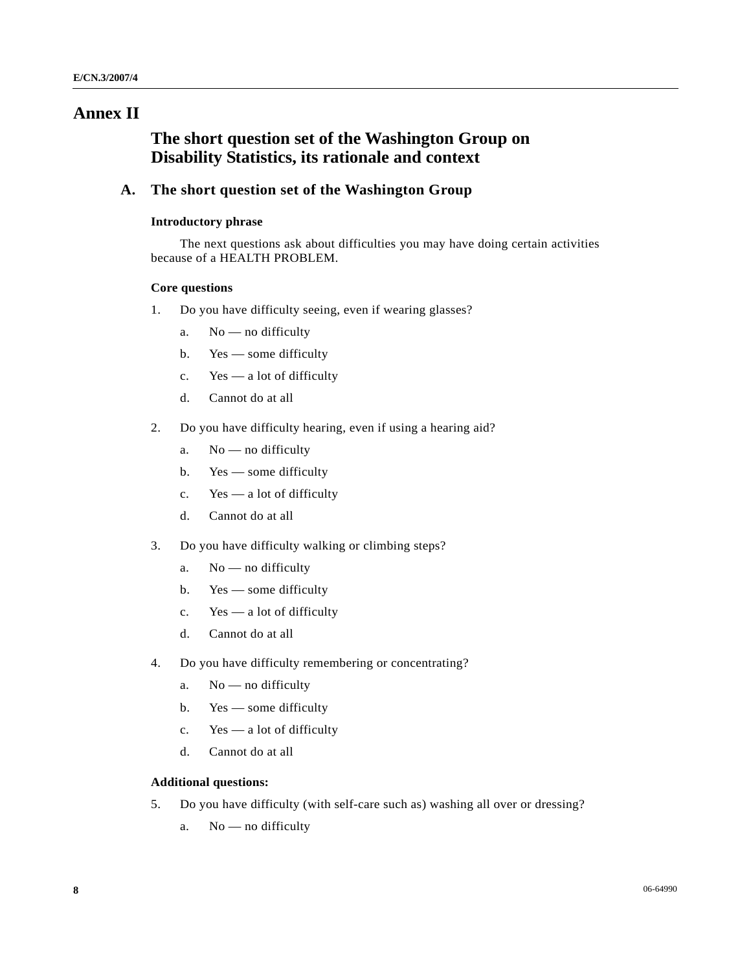# **Annex II**

# **The short question set of the Washington Group on Disability Statistics, its rationale and context**

### **A. The short question set of the Washington Group**

### **Introductory phrase**

 The next questions ask about difficulties you may have doing certain activities because of a HEALTH PROBLEM.

#### **Core questions**

- 1. Do you have difficulty seeing, even if wearing glasses?
	- a. No no difficulty
	- b. Yes some difficulty
	- c. Yes a lot of difficulty
	- d. Cannot do at all
- 2. Do you have difficulty hearing, even if using a hearing aid?
	- a. No no difficulty
	- b. Yes some difficulty
	- c. Yes a lot of difficulty
	- d. Cannot do at all
- 3. Do you have difficulty walking or climbing steps?
	- a. No no difficulty
	- b. Yes some difficulty
	- c. Yes a lot of difficulty
	- d. Cannot do at all
- 4. Do you have difficulty remembering or concentrating?
	- a. No no difficulty
	- b. Yes some difficulty
	- c. Yes a lot of difficulty
	- d. Cannot do at all

#### **Additional questions:**

- 5. Do you have difficulty (with self-care such as) washing all over or dressing?
	- a. No no difficulty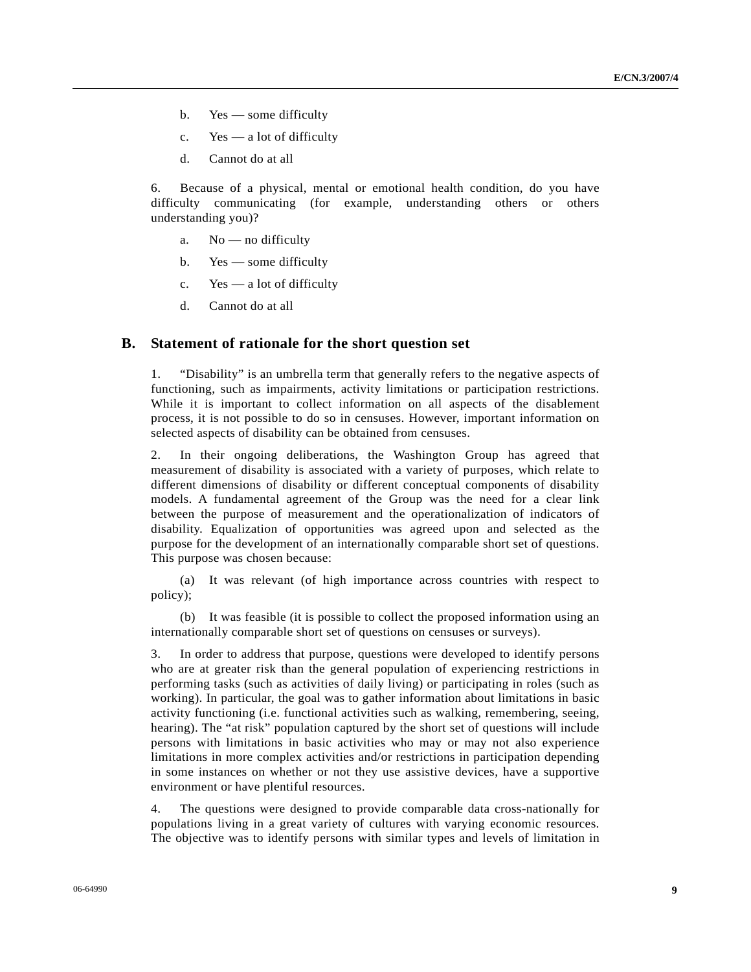- b. Yes some difficulty
- c. Yes a lot of difficulty
- d. Cannot do at all

6. Because of a physical, mental or emotional health condition, do you have difficulty communicating (for example, understanding others or others understanding you)?

- a. No no difficulty
- b. Yes some difficulty
- c. Yes a lot of difficulty
- d. Cannot do at all

### **B. Statement of rationale for the short question set**

1. "Disability" is an umbrella term that generally refers to the negative aspects of functioning, such as impairments, activity limitations or participation restrictions. While it is important to collect information on all aspects of the disablement process, it is not possible to do so in censuses. However, important information on selected aspects of disability can be obtained from censuses.

2. In their ongoing deliberations, the Washington Group has agreed that measurement of disability is associated with a variety of purposes, which relate to different dimensions of disability or different conceptual components of disability models. A fundamental agreement of the Group was the need for a clear link between the purpose of measurement and the operationalization of indicators of disability. Equalization of opportunities was agreed upon and selected as the purpose for the development of an internationally comparable short set of questions. This purpose was chosen because:

 (a) It was relevant (of high importance across countries with respect to policy);

 (b) It was feasible (it is possible to collect the proposed information using an internationally comparable short set of questions on censuses or surveys).

3. In order to address that purpose, questions were developed to identify persons who are at greater risk than the general population of experiencing restrictions in performing tasks (such as activities of daily living) or participating in roles (such as working). In particular, the goal was to gather information about limitations in basic activity functioning (i.e. functional activities such as walking, remembering, seeing, hearing). The "at risk" population captured by the short set of questions will include persons with limitations in basic activities who may or may not also experience limitations in more complex activities and/or restrictions in participation depending in some instances on whether or not they use assistive devices, have a supportive environment or have plentiful resources.

4. The questions were designed to provide comparable data cross-nationally for populations living in a great variety of cultures with varying economic resources. The objective was to identify persons with similar types and levels of limitation in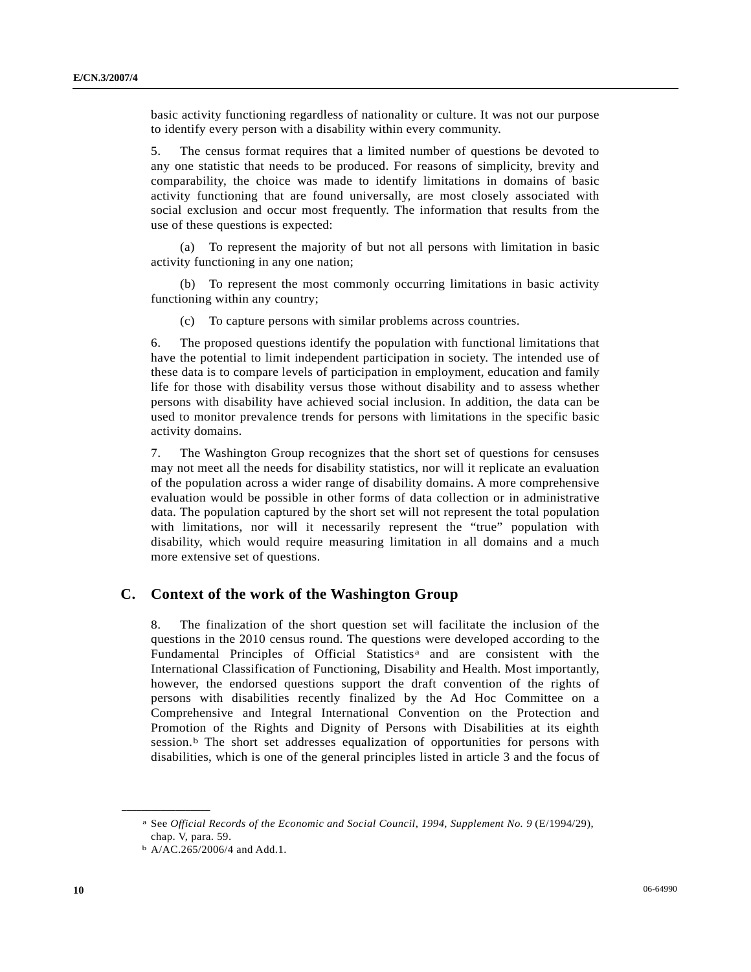basic activity functioning regardless of nationality or culture. It was not our purpose to identify every person with a disability within every community.

5. The census format requires that a limited number of questions be devoted to any one statistic that needs to be produced. For reasons of simplicity, brevity and comparability, the choice was made to identify limitations in domains of basic activity functioning that are found universally, are most closely associated with social exclusion and occur most frequently. The information that results from the use of these questions is expected:

 (a) To represent the majority of but not all persons with limitation in basic activity functioning in any one nation;

 (b) To represent the most commonly occurring limitations in basic activity functioning within any country;

(c) To capture persons with similar problems across countries.

6. The proposed questions identify the population with functional limitations that have the potential to limit independent participation in society. The intended use of these data is to compare levels of participation in employment, education and family life for those with disability versus those without disability and to assess whether persons with disability have achieved social inclusion. In addition, the data can be used to monitor prevalence trends for persons with limitations in the specific basic activity domains.

7. The Washington Group recognizes that the short set of questions for censuses may not meet all the needs for disability statistics, nor will it replicate an evaluation of the population across a wider range of disability domains. A more comprehensive evaluation would be possible in other forms of data collection or in administrative data. The population captured by the short set will not represent the total population with limitations, nor will it necessarily represent the "true" population with disability, which would require measuring limitation in all domains and a much more extensive set of questions.

### **C. Context of the work of the Washington Group**

8. The finalization of the short question set will facilitate the inclusion of the questions in the 2010 census round. The questions were developed according to the Fund[a](#page-9-0)mental Principles of Official Statistics<sup>a</sup> and are consistent with the International Classification of Functioning, Disability and Health. Most importantly, however, the endorsed questions support the draft convention of the rights of persons with disabilities recently finalized by the Ad Hoc Committee on a Comprehensive and Integral International Convention on the Protection and Promotion of the Rights and Dignity of Persons with Disabilities at its eighth session.<sup>b</sup> The short set addresses equalization of opportunities for persons with disabilities, which is one of the general principles listed in article 3 and the focus of

<span id="page-9-1"></span><span id="page-9-0"></span>**\_\_\_\_\_\_\_\_\_\_\_\_\_\_\_\_\_\_** 

a See *Official Records of the Economic and Social Council, 1994, Supplement No. 9* (E/1994/29), chap. V, para. 59.

b A/AC.265/2006/4 and Add.1.